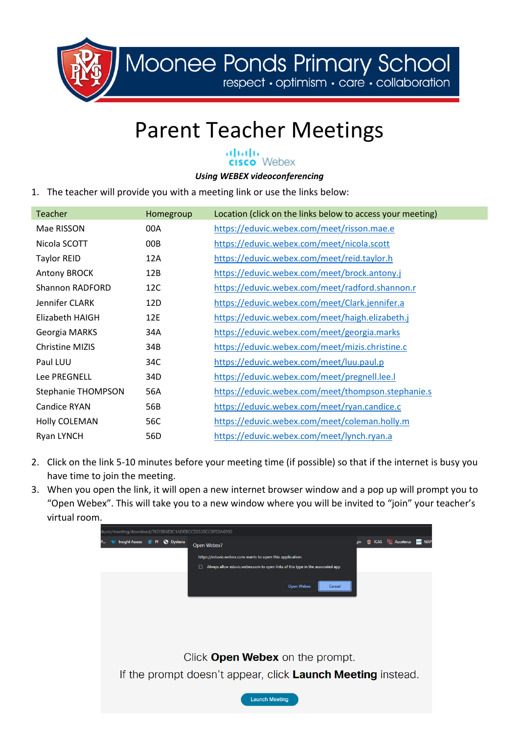

Moonee Ponds Primary School

respect · optimism · care · collaboration

## Parent Teacher Meetings

## atoda<br>**cisco** Webex

## *Using WEBEX videoconferencing*

1. The teacher will provide you with a meeting link or use the links below:

| <b>Teacher</b>            | Homegroup | Location (click on the links below to access your meeting) |
|---------------------------|-----------|------------------------------------------------------------|
| Mae RISSON                | 00A       | https://eduvic.webex.com/meet/risson.mae.e                 |
| Nicola SCOTT              | 00B       | https://eduvic.webex.com/meet/nicola.scott                 |
| <b>Taylor REID</b>        | 12A       | https://eduvic.webex.com/meet/reid.taylor.h                |
| <b>Antony BROCK</b>       | 12B       | https://eduvic.webex.com/meet/brock.antony.j               |
| Shannon RADFORD           | 12C       | https://eduvic.webex.com/meet/radford.shannon.r            |
| Jennifer CLARK            | 12D       | https://eduvic.webex.com/meet/Clark.jennifer.a             |
| Elizabeth HAIGH           | 12E       | https://eduvic.webex.com/meet/haigh.elizabeth.j            |
| Georgia MARKS             | 34A       | https://eduvic.webex.com/meet/georgia.marks                |
| Christine MIZIS           | 34B       | https://eduvic.webex.com/meet/mizis.christine.c            |
| Paul LUU                  | 34C       | https://eduvic.webex.com/meet/luu.paul.p                   |
| Lee PREGNELL              | 34D       | https://eduvic.webex.com/meet/pregnell.lee.l               |
| <b>Stephanie THOMPSON</b> | 56A       | https://eduvic.webex.com/meet/thompson.stephanie.s         |
| <b>Candice RYAN</b>       | 56B       | https://eduvic.webex.com/meet/ryan.candice.c               |
| Holly COLEMAN             | 56C       | https://eduvic.webex.com/meet/coleman.holly.m              |
| Ryan LYNCH                | 56D       | https://eduvic.webex.com/meet/lynch.ryan.a                 |

- 2. Click on the link 5-10 minutes before your meeting time (if possible) so that if the internet is busy you have time to join the meeting.
- 3. When you open the link, it will open a new internet browser window and a pop up will prompt you to "Open Webex". This will take you to a new window where you will be invited to "join" your teacher's virtual room.